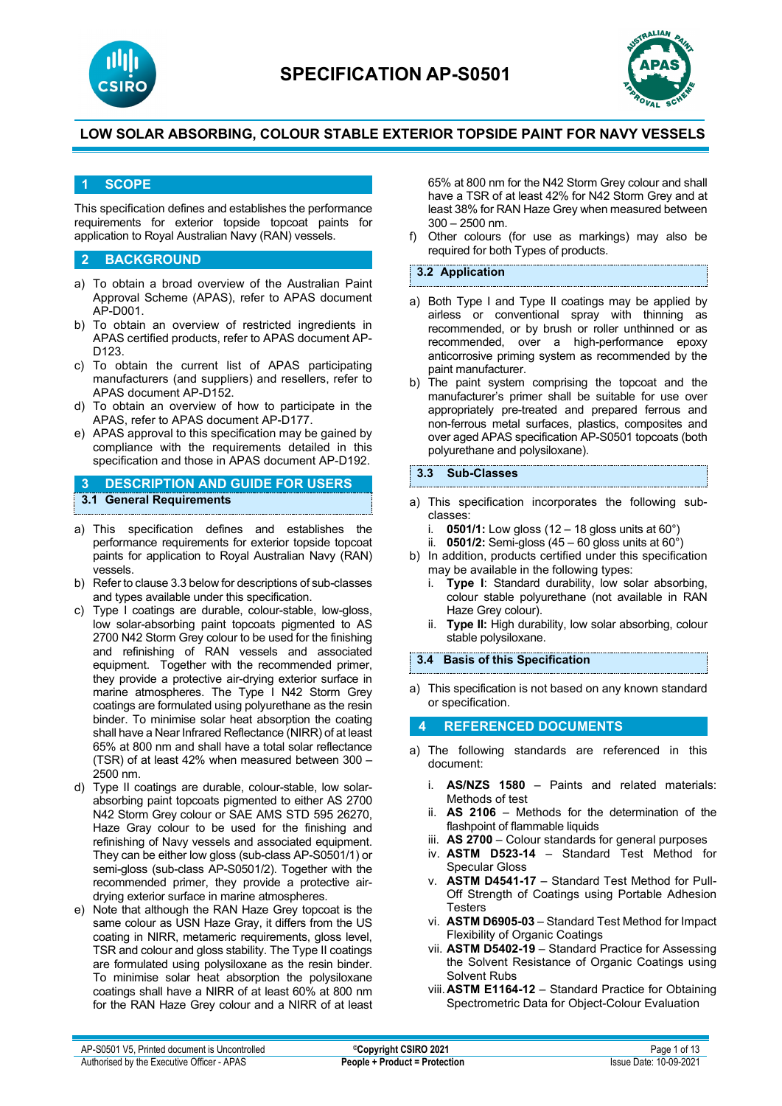



### **1 SCOPE**

This specification defines and establishes the performance requirements for exterior topside topcoat paints for application to Royal Australian Navy (RAN) vessels.

#### **2 BACKGROUND**

- a) To obtain a broad overview of the Australian Paint Approval Scheme (APAS), refer to APAS document AP-D001.
- b) To obtain an overview of restricted ingredients in APAS certified products, refer to APAS document AP-D123.
- c) To obtain the current list of APAS participating manufacturers (and suppliers) and resellers, refer to APAS document AP-D152.
- d) To obtain an overview of how to participate in the APAS, refer to APAS document AP-D177.
- e) APAS approval to this specification may be gained by compliance with the requirements detailed in this specification and those in APAS document AP-D192.

### **3 DESCRIPTION AND GUIDE FOR USERS 3.1 General Requirements**

- a) This specification defines and establishes the performance requirements for exterior topside topcoat paints for application to Royal Australian Navy (RAN) vessels.
- b) Refer to clause 3.3 below for descriptions of sub-classes and types available under this specification.
- c) Type I coatings are durable, colour-stable, low-gloss, low solar-absorbing paint topcoats pigmented to AS 2700 N42 Storm Grey colour to be used for the finishing and refinishing of RAN vessels and associated equipment. Together with the recommended primer, they provide a protective air-drying exterior surface in marine atmospheres. The Type I N42 Storm Grey coatings are formulated using polyurethane as the resin binder. To minimise solar heat absorption the coating shall have a Near Infrared Reflectance (NIRR) of at least 65% at 800 nm and shall have a total solar reflectance (TSR) of at least 42% when measured between 300 – 2500 nm.
- d) Type II coatings are durable, colour-stable, low solarabsorbing paint topcoats pigmented to either AS 2700 N42 Storm Grey colour or SAE AMS STD 595 26270, Haze Gray colour to be used for the finishing and refinishing of Navy vessels and associated equipment. They can be either low gloss (sub-class AP-S0501/1) or semi-gloss (sub-class AP-S0501/2). Together with the recommended primer, they provide a protective airdrying exterior surface in marine atmospheres.
- e) Note that although the RAN Haze Grey topcoat is the same colour as USN Haze Gray, it differs from the US coating in NIRR, metameric requirements, gloss level, TSR and colour and gloss stability. The Type II coatings are formulated using polysiloxane as the resin binder. To minimise solar heat absorption the polysiloxane coatings shall have a NIRR of at least 60% at 800 nm for the RAN Haze Grey colour and a NIRR of at least

65% at 800 nm for the N42 Storm Grey colour and shall have a TSR of at least 42% for N42 Storm Grey and at least 38% for RAN Haze Grey when measured between 300 – 2500 nm.

f) Other colours (for use as markings) may also be required for both Types of products.

#### **3.2 Application**

- a) Both Type I and Type II coatings may be applied by airless or conventional spray with thinning as recommended, or by brush or roller unthinned or as recommended, over a high-performance epoxy anticorrosive priming system as recommended by the paint manufacturer.
- b) The paint system comprising the topcoat and the manufacturer's primer shall be suitable for use over appropriately pre-treated and prepared ferrous and non-ferrous metal surfaces, plastics, composites and over aged APAS specification AP-S0501 topcoats (both polyurethane and polysiloxane).

### **3.3 Sub-Classes**

- a) This specification incorporates the following subclasses:
	- i. **0501/1:** Low gloss (12 18 gloss units at 60°)
	- ii.  $0501/2$ : Semi-gloss  $(45 60)$  gloss units at  $60^{\circ}$ )
- b) In addition, products certified under this specification may be available in the following types:
	- i. **Type I**: Standard durability, low solar absorbing, colour stable polyurethane (not available in RAN Haze Grey colour).
	- ii. **Type II:** High durability, low solar absorbing, colour stable polysiloxane.

#### **3.4 Basis of this Specification**

a) This specification is not based on any known standard or specification.

#### **4 REFERENCED DOCUMENTS**

- a) The following standards are referenced in this document:
	- i. **AS/NZS 1580** Paints and related materials: Methods of test
	- ii. **AS 2106** Methods for the determination of the flashpoint of flammable liquids
	- iii. **AS 2700** Colour standards for general purposes
	- iv. **ASTM D523-14** Standard Test Method for Specular Gloss
	- v. **ASTM D4541-17**  Standard Test Method for Pull-Off Strength of Coatings using Portable Adhesion Testers
	- vi. **ASTM D6905-03**  Standard Test Method for Impact Flexibility of Organic Coatings
	- vii. **ASTM D5402-19**  Standard Practice for Assessing the Solvent Resistance of Organic Coatings using Solvent Rubs
	- viii.**ASTM E1164-12** Standard Practice for Obtaining Spectrometric Data for Object-Colour Evaluation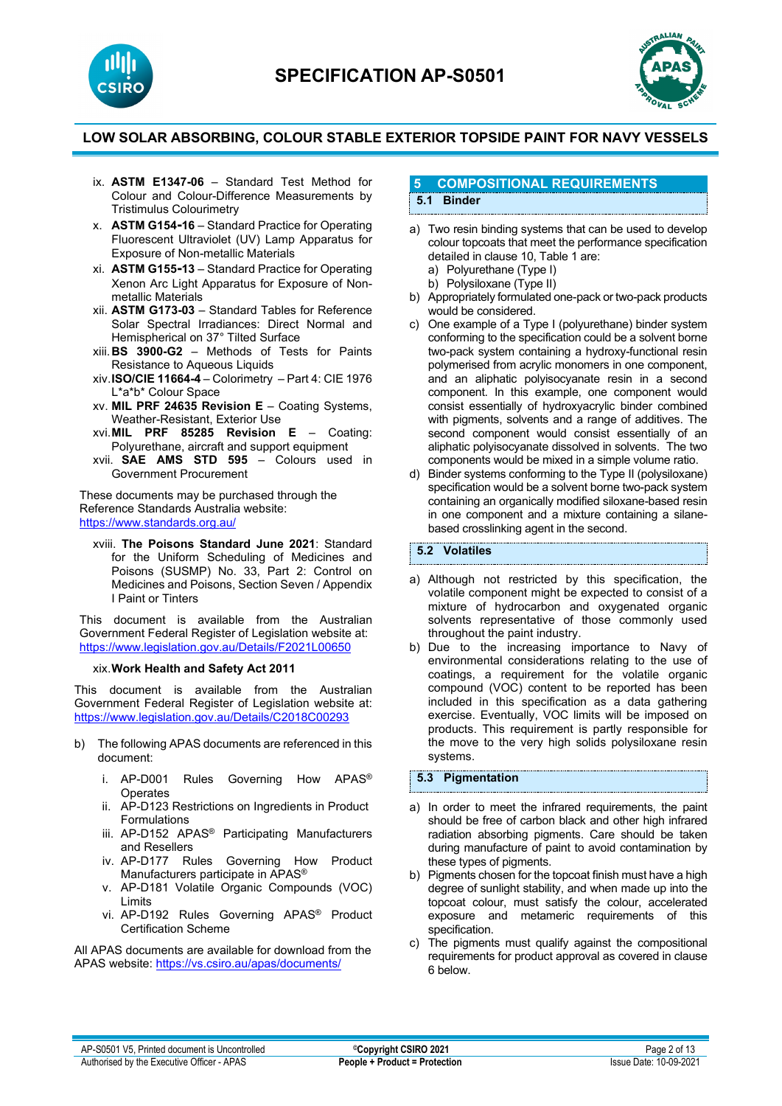





- ix. **ASTM E1347-06** Standard Test Method for Colour and Colour-Difference Measurements by Tristimulus Colourimetry
- x. **ASTM G154-16** Standard Practice for Operating Fluorescent Ultraviolet (UV) Lamp Apparatus for Exposure of Non-metallic Materials
- xi. **ASTM G155-13** Standard Practice for Operating Xenon Arc Light Apparatus for Exposure of Nonmetallic Materials
- xii. **ASTM G173-03** Standard Tables for Reference Solar Spectral Irradiances: Direct Normal and Hemispherical on 37° Tilted Surface
- xiii.**BS 3900-G2** Methods of Tests for Paints Resistance to Aqueous Liquids
- xiv.**ISO/CIE 11664-4** Colorimetry Part 4: CIE 1976 L\*a\*b\* Colour Space
- xv. **MIL PRF 24635 Revision E**  Coating Systems, Weather-Resistant, Exterior Use
- xvi.**MIL PRF 85285 Revision E**  Coating: Polyurethane, aircraft and support equipment
- xvii. **SAE AMS STD 595** Colours used in Government Procurement

These documents may be purchased through the Reference Standards Australia website: <https://www.standards.org.au/>

xviii. **The Poisons Standard June 2021**: Standard for the Uniform Scheduling of Medicines and Poisons (SUSMP) No. 33, Part 2: Control on Medicines and Poisons, Section Seven / Appendix I Paint or Tinters

This document is available from the Australian Government Federal Register of Legislation website at: <https://www.legislation.gov.au/Details/F2021L00650>

#### xix.**Work Health and Safety Act 2011**

This document is available from the Australian Government Federal Register of Legislation website at: <https://www.legislation.gov.au/Details/C2018C00293>

- b) The following APAS documents are referenced in this document:
	- i. AP-D001 Rules Governing How APAS® **Operates**
	- ii. AP-D123 Restrictions on Ingredients in Product Formulations
	- iii. AP-D152 APAS® Participating Manufacturers and Resellers
	- iv. AP-D177 Rules Governing How Product Manufacturers participate in APAS®
	- v. AP-D181 Volatile Organic Compounds (VOC) Limits
	- vi. AP-D192 Rules Governing APAS® Product Certification Scheme

All APAS documents are available for download from the APAS website: <https://vs.csiro.au/apas/documents/>

#### **5 COMPOSITIONAL REQUIREMENTS 5.1 Binder**

- a) Two resin binding systems that can be used to develop colour topcoats that meet the performance specification detailed in clause 10, Table 1 are: a) Polyurethane (Type I)
	- b) Polysiloxane (Type II)
- b) Appropriately formulated one-pack or two-pack products would be considered.
- c) One example of a Type I (polyurethane) binder system conforming to the specification could be a solvent borne two-pack system containing a hydroxy-functional resin polymerised from acrylic monomers in one component, and an aliphatic polyisocyanate resin in a second component. In this example, one component would consist essentially of hydroxyacrylic binder combined with pigments, solvents and a range of additives. The second component would consist essentially of an aliphatic polyisocyanate dissolved in solvents. The two components would be mixed in a simple volume ratio.
- d) Binder systems conforming to the Type II (polysiloxane) specification would be a solvent borne two-pack system containing an organically modified siloxane-based resin in one component and a mixture containing a silanebased crosslinking agent in the second.

**5.2 Volatiles**

- a) Although not restricted by this specification, the volatile component might be expected to consist of a mixture of hydrocarbon and oxygenated organic solvents representative of those commonly used throughout the paint industry.
- b) Due to the increasing importance to Navy of environmental considerations relating to the use of coatings, a requirement for the volatile organic compound (VOC) content to be reported has been included in this specification as a data gathering exercise. Eventually, VOC limits will be imposed on products. This requirement is partly responsible for the move to the very high solids polysiloxane resin systems.

**5.3 Pigmentation**

- a) In order to meet the infrared requirements, the paint should be free of carbon black and other high infrared radiation absorbing pigments. Care should be taken during manufacture of paint to avoid contamination by these types of pigments.
- b) Pigments chosen for the topcoat finish must have a high degree of sunlight stability, and when made up into the topcoat colour, must satisfy the colour, accelerated exposure and metameric requirements of this specification.
- c) The pigments must qualify against the compositional requirements for product approval as covered in clause 6 below.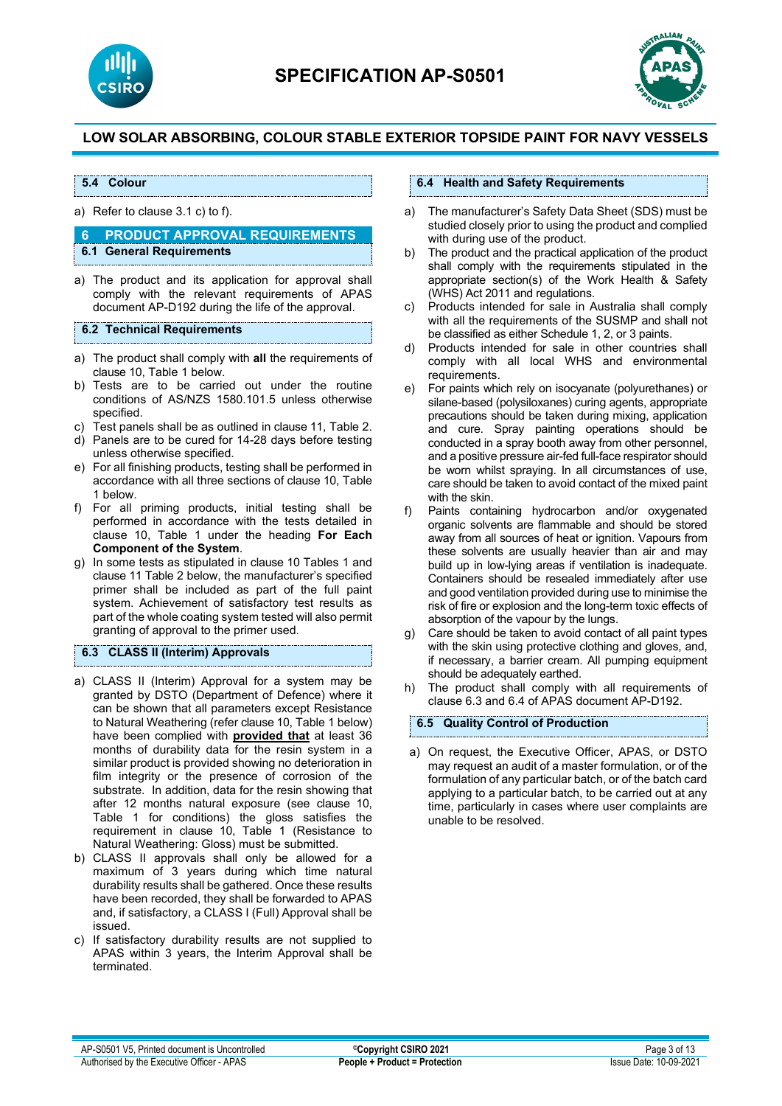



#### **5.4 Colour**

a) Refer to clause 3.1 c) to f).

#### **6 PRODUCT APPROVAL REQUIREMENTS 6.1 General Requirements**

- 
- a) The product and its application for approval shall comply with the relevant requirements of APAS document AP-D192 during the life of the approval.

#### **6.2 Technical Requirements**

- a) The product shall comply with **all** the requirements of clause 10, Table 1 below.
- b) Tests are to be carried out under the routine conditions of AS/NZS 1580.101.5 unless otherwise specified.
- c) Test panels shall be as outlined in clause 11, Table 2.
- d) Panels are to be cured for 14-28 days before testing unless otherwise specified.
- e) For all finishing products, testing shall be performed in accordance with all three sections of clause 10, Table 1 below.
- f) For all priming products, initial testing shall be performed in accordance with the tests detailed in clause 10, Table 1 under the heading **For Each Component of the System**.
- g) In some tests as stipulated in clause 10 Tables 1 and clause 11 Table 2 below, the manufacturer's specified primer shall be included as part of the full paint system. Achievement of satisfactory test results as part of the whole coating system tested will also permit granting of approval to the primer used.

### **6.3 CLASS II (Interim) Approvals**

- a) CLASS II (Interim) Approval for a system may be granted by DSTO (Department of Defence) where it can be shown that all parameters except Resistance to Natural Weathering (refer clause 10, Table 1 below) have been complied with **provided that** at least 36 months of durability data for the resin system in a similar product is provided showing no deterioration in film integrity or the presence of corrosion of the substrate. In addition, data for the resin showing that after 12 months natural exposure (see clause 10, Table 1 for conditions) the gloss satisfies the requirement in clause 10, Table 1 (Resistance to Natural Weathering: Gloss) must be submitted.
- b) CLASS II approvals shall only be allowed for a maximum of 3 years during which time natural durability results shall be gathered. Once these results have been recorded, they shall be forwarded to APAS and, if satisfactory, a CLASS I (Full) Approval shall be issued.
- c) If satisfactory durability results are not supplied to APAS within 3 years, the Interim Approval shall be terminated.

#### **6.4 Health and Safety Requirements**

- a) The manufacturer's Safety Data Sheet (SDS) must be studied closely prior to using the product and complied with during use of the product.
- b) The product and the practical application of the product shall comply with the requirements stipulated in the appropriate section(s) of the Work Health & Safety (WHS) Act 2011 and regulations.
- c) Products intended for sale in Australia shall comply with all the requirements of the SUSMP and shall not be classified as either Schedule 1, 2, or 3 paints.
- d) Products intended for sale in other countries shall comply with all local WHS and environmental requirements.
- e) For paints which rely on isocyanate (polyurethanes) or silane-based (polysiloxanes) curing agents, appropriate precautions should be taken during mixing, application and cure. Spray painting operations should be conducted in a spray booth away from other personnel, and a positive pressure air-fed full-face respirator should be worn whilst spraying. In all circumstances of use, care should be taken to avoid contact of the mixed paint with the skin.
- f) Paints containing hydrocarbon and/or oxygenated organic solvents are flammable and should be stored away from all sources of heat or ignition. Vapours from these solvents are usually heavier than air and may build up in low-lying areas if ventilation is inadequate. Containers should be resealed immediately after use and good ventilation provided during use to minimise the risk of fire or explosion and the long-term toxic effects of absorption of the vapour by the lungs.
- g) Care should be taken to avoid contact of all paint types with the skin using protective clothing and gloves, and, if necessary, a barrier cream. All pumping equipment should be adequately earthed.
- h) The product shall comply with all requirements of clause 6.3 and 6.4 of APAS document AP-D192.

#### **6.5 Quality Control of Production**

a) On request, the Executive Officer, APAS, or DSTO may request an audit of a master formulation, or of the formulation of any particular batch, or of the batch card applying to a particular batch, to be carried out at any time, particularly in cases where user complaints are unable to be resolved.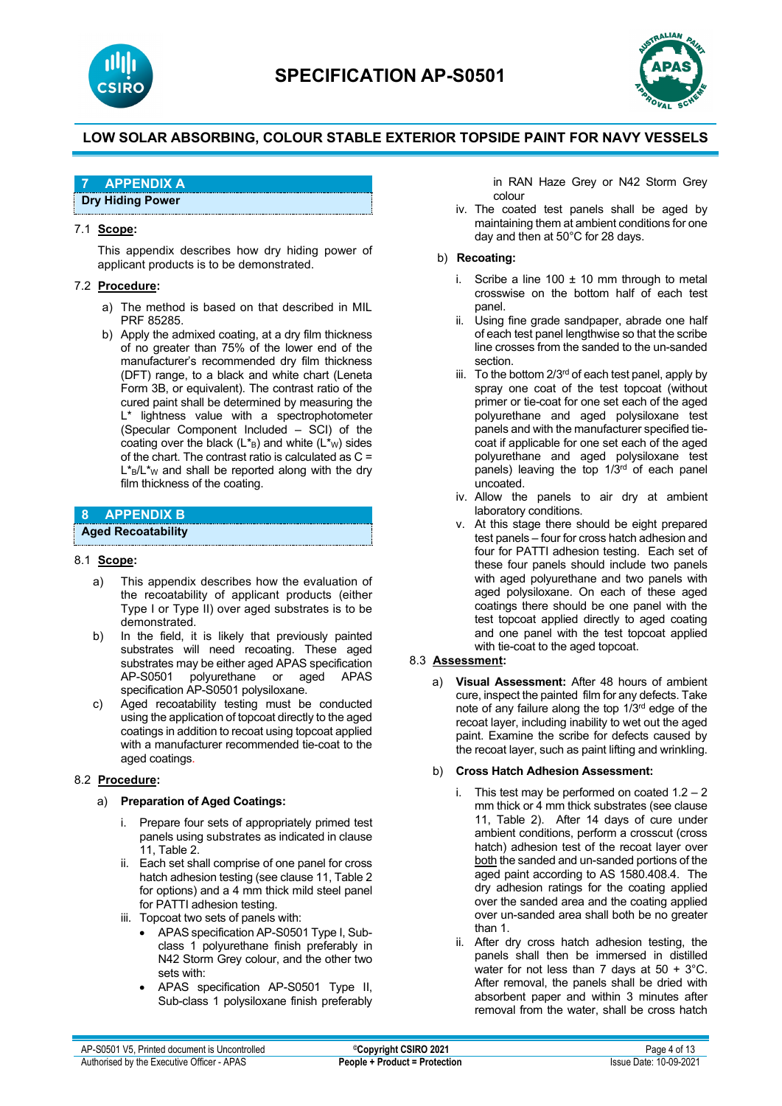



# **7 APPENDIX A**

**Dry Hiding Power**

#### 7.1 **Scope:**

This appendix describes how dry hiding power of applicant products is to be demonstrated.

#### 7.2 **Procedure:**

- a) The method is based on that described in MIL PRF 85285.
- b) Apply the admixed coating, at a dry film thickness of no greater than 75% of the lower end of the manufacturer's recommended dry film thickness (DFT) range, to a black and white chart (Leneta Form 3B, or equivalent). The contrast ratio of the cured paint shall be determined by measuring the L<sup>\*</sup> lightness value with a spectrophotometer (Specular Component Included – SCI) of the coating over the black  $(L^*g)$  and white  $(L^*w)$  sides of the chart. The contrast ratio is calculated as C =  $L_{\rm B}/L_{\rm W}$  and shall be reported along with the dry film thickness of the coating.

# **8 APPENDIX B**

### **Aged Recoatability**

#### 8.1 **Scope:**

- a) This appendix describes how the evaluation of the recoatability of applicant products (either Type I or Type II) over aged substrates is to be demonstrated.
- b) In the field, it is likely that previously painted substrates will need recoating. These aged substrates may be either aged APAS specification AP-S0501 polyurethane or aged APAS specification AP-S0501 polysiloxane.
- c) Aged recoatability testing must be conducted using the application of topcoat directly to the aged coatings in addition to recoat using topcoat applied with a manufacturer recommended tie-coat to the aged coatings.

#### 8.2 **Procedure:**

#### a) **Preparation of Aged Coatings:**

- i. Prepare four sets of appropriately primed test panels using substrates as indicated in clause 11, Table 2.
- ii. Each set shall comprise of one panel for cross hatch adhesion testing (see clause 11, Table 2 for options) and a 4 mm thick mild steel panel for PATTI adhesion testing.
- iii. Topcoat two sets of panels with:
	- APAS specification AP-S0501 Type I, Subclass 1 polyurethane finish preferably in N42 Storm Grey colour, and the other two sets with:
	- APAS specification AP-S0501 Type II, Sub-class 1 polysiloxane finish preferably

in RAN Haze Grey or N42 Storm Grey colour

iv. The coated test panels shall be aged by maintaining them at ambient conditions for one day and then at 50°C for 28 days.

#### b) **Recoating:**

- i. Scribe a line  $100 \pm 10$  mm through to metal crosswise on the bottom half of each test panel.
- ii. Using fine grade sandpaper, abrade one half of each test panel lengthwise so that the scribe line crosses from the sanded to the un-sanded section.
- iii. To the bottom  $2/3^{rd}$  of each test panel, apply by spray one coat of the test topcoat (without primer or tie-coat for one set each of the aged polyurethane and aged polysiloxane test panels and with the manufacturer specified tiecoat if applicable for one set each of the aged polyurethane and aged polysiloxane test panels) leaving the top  $1/3^{rd}$  of each panel uncoated.
- iv. Allow the panels to air dry at ambient laboratory conditions.
- v. At this stage there should be eight prepared test panels – four for cross hatch adhesion and four for PATTI adhesion testing. Each set of these four panels should include two panels with aged polyurethane and two panels with aged polysiloxane. On each of these aged coatings there should be one panel with the test topcoat applied directly to aged coating and one panel with the test topcoat applied with tie-coat to the aged topcoat.

#### 8.3 **Assessment:**

a) **Visual Assessment:** After 48 hours of ambient cure, inspect the painted film for any defects. Take note of any failure along the top 1/3rd edge of the recoat layer, including inability to wet out the aged paint. Examine the scribe for defects caused by the recoat layer, such as paint lifting and wrinkling.

#### b) **Cross Hatch Adhesion Assessment:**

- i. This test may be performed on coated  $1.2 2$ mm thick or 4 mm thick substrates (see clause 11, Table 2). After 14 days of cure under ambient conditions, perform a crosscut (cross hatch) adhesion test of the recoat layer over both the sanded and un-sanded portions of the aged paint according to AS 1580.408.4. The dry adhesion ratings for the coating applied over the sanded area and the coating applied over un-sanded area shall both be no greater than 1.
- ii. After dry cross hatch adhesion testing, the panels shall then be immersed in distilled water for not less than 7 days at  $50 + 3^{\circ}$ C. After removal, the panels shall be dried with absorbent paper and within 3 minutes after removal from the water, shall be cross hatch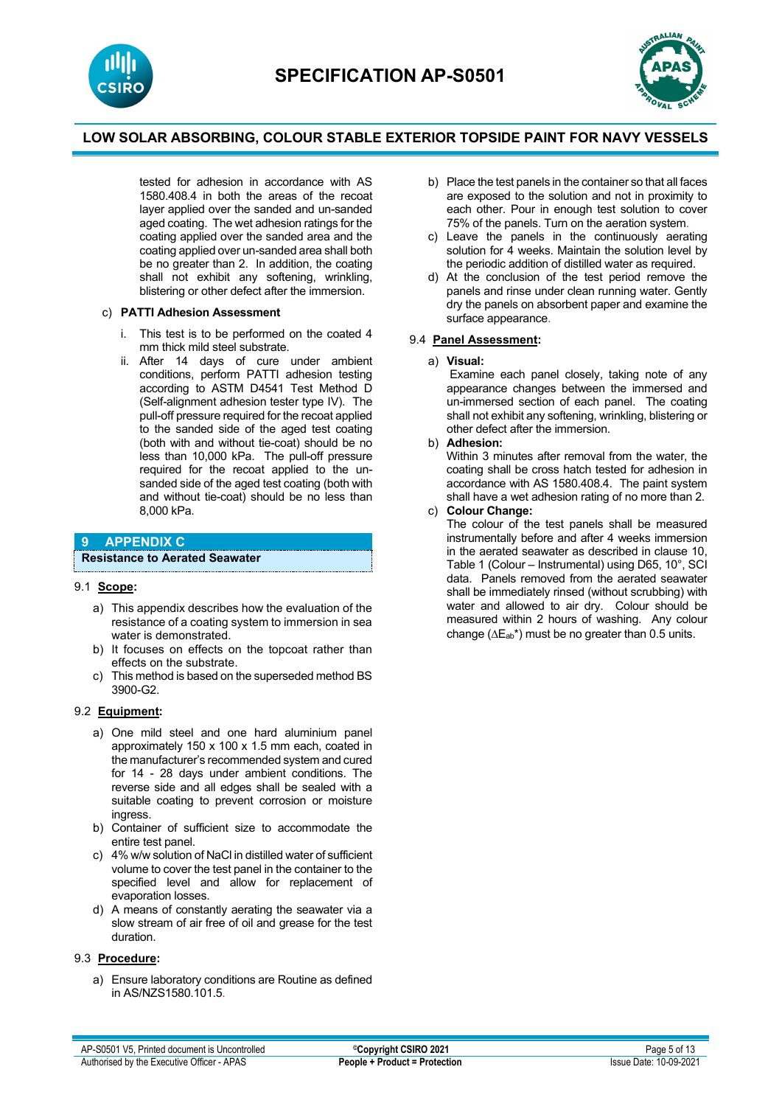



tested for adhesion in accordance with AS 1580.408.4 in both the areas of the recoat layer applied over the sanded and un-sanded aged coating. The wet adhesion ratings for the coating applied over the sanded area and the coating applied over un-sanded area shall both be no greater than 2. In addition, the coating shall not exhibit any softening, wrinkling, blistering or other defect after the immersion.

#### c) **PATTI Adhesion Assessment**

- i. This test is to be performed on the coated 4 mm thick mild steel substrate.
- ii. After 14 days of cure under ambient conditions, perform PATTI adhesion testing according to ASTM D4541 Test Method D (Self-alignment adhesion tester type IV). The pull-off pressure required for the recoat applied to the sanded side of the aged test coating (both with and without tie-coat) should be no less than 10,000 kPa. The pull-off pressure required for the recoat applied to the unsanded side of the aged test coating (both with and without tie-coat) should be no less than 8,000 kPa.

## **9 APPENDIX C**

**Resistance to Aerated Seawater**

#### 9.1 **Scope:**

- a) This appendix describes how the evaluation of the resistance of a coating system to immersion in sea water is demonstrated.
- b) It focuses on effects on the topcoat rather than effects on the substrate.
- c) This method is based on the superseded method BS 3900-G2.

#### 9.2 **Equipment:**

- a) One mild steel and one hard aluminium panel approximately 150 x 100 x 1.5 mm each, coated in the manufacturer's recommended system and cured for 14 - 28 days under ambient conditions. The reverse side and all edges shall be sealed with a suitable coating to prevent corrosion or moisture ingress.
- b) Container of sufficient size to accommodate the entire test panel.
- c) 4% w/w solution of NaCl in distilled water of sufficient volume to cover the test panel in the container to the specified level and allow for replacement of evaporation losses.
- d) A means of constantly aerating the seawater via a slow stream of air free of oil and grease for the test duration.

#### 9.3 **Procedure:**

a) Ensure laboratory conditions are Routine as defined in AS/NZS1580.101.5.

- b) Place the test panels in the container so that all faces are exposed to the solution and not in proximity to each other. Pour in enough test solution to cover 75% of the panels. Turn on the aeration system.
- c) Leave the panels in the continuously aerating solution for 4 weeks. Maintain the solution level by the periodic addition of distilled water as required.
- d) At the conclusion of the test period remove the panels and rinse under clean running water. Gently dry the panels on absorbent paper and examine the surface appearance.

#### 9.4 **Panel Assessment:**

a) **Visual:**

 Examine each panel closely, taking note of any appearance changes between the immersed and un-immersed section of each panel. The coating shall not exhibit any softening, wrinkling, blistering or other defect after the immersion.

#### b) **Adhesion:**

 Within 3 minutes after removal from the water, the coating shall be cross hatch tested for adhesion in accordance with AS 1580.408.4. The paint system shall have a wet adhesion rating of no more than 2.

#### c) **Colour Change:**

 The colour of the test panels shall be measured instrumentally before and after 4 weeks immersion in the aerated seawater as described in clause 10, Table 1 (Colour – Instrumental) using D65, 10°, SCI data. Panels removed from the aerated seawater shall be immediately rinsed (without scrubbing) with water and allowed to air dry. Colour should be measured within 2 hours of washing. Any colour change ( $\Delta E_{ab}^*$ ) must be no greater than 0.5 units.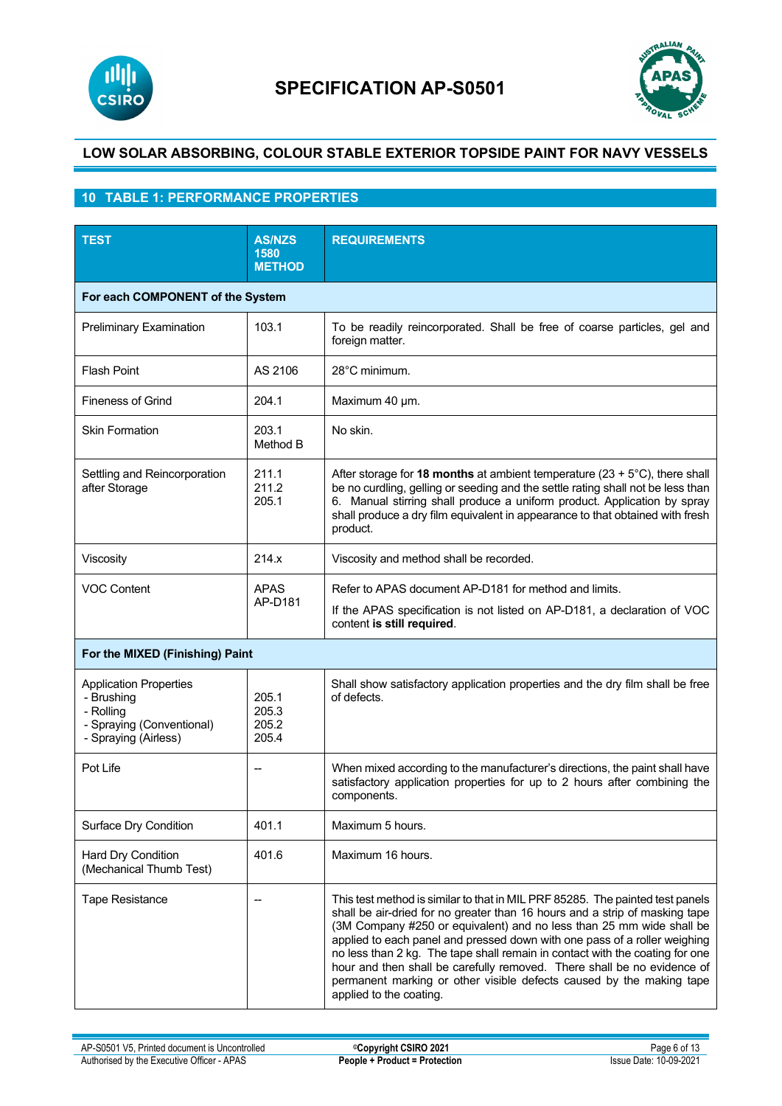



# **10 TABLE 1: PERFORMANCE PROPERTIES**

| <b>TEST</b>                                                                                                   | <b>AS/NZS</b><br>1580<br><b>METHOD</b> | <b>REQUIREMENTS</b>                                                                                                                                                                                                                                                                                                                                                                                                                                                                                                                                                             |
|---------------------------------------------------------------------------------------------------------------|----------------------------------------|---------------------------------------------------------------------------------------------------------------------------------------------------------------------------------------------------------------------------------------------------------------------------------------------------------------------------------------------------------------------------------------------------------------------------------------------------------------------------------------------------------------------------------------------------------------------------------|
| For each COMPONENT of the System                                                                              |                                        |                                                                                                                                                                                                                                                                                                                                                                                                                                                                                                                                                                                 |
| <b>Preliminary Examination</b>                                                                                | 103.1                                  | To be readily reincorporated. Shall be free of coarse particles, gel and<br>foreign matter.                                                                                                                                                                                                                                                                                                                                                                                                                                                                                     |
| <b>Flash Point</b>                                                                                            | AS 2106                                | 28°C minimum.                                                                                                                                                                                                                                                                                                                                                                                                                                                                                                                                                                   |
| <b>Fineness of Grind</b>                                                                                      | 204.1                                  | Maximum 40 µm.                                                                                                                                                                                                                                                                                                                                                                                                                                                                                                                                                                  |
| <b>Skin Formation</b>                                                                                         | 203.1<br>Method B                      | No skin.                                                                                                                                                                                                                                                                                                                                                                                                                                                                                                                                                                        |
| Settling and Reincorporation<br>after Storage                                                                 | 211.1<br>211.2<br>205.1                | After storage for 18 months at ambient temperature ( $23 + 5^{\circ}$ C), there shall<br>be no curdling, gelling or seeding and the settle rating shall not be less than<br>6. Manual stirring shall produce a uniform product. Application by spray<br>shall produce a dry film equivalent in appearance to that obtained with fresh<br>product.                                                                                                                                                                                                                               |
| Viscosity                                                                                                     | 214.x                                  | Viscosity and method shall be recorded.                                                                                                                                                                                                                                                                                                                                                                                                                                                                                                                                         |
| <b>VOC Content</b>                                                                                            | <b>APAS</b><br>AP-D181                 | Refer to APAS document AP-D181 for method and limits.<br>If the APAS specification is not listed on AP-D181, a declaration of VOC<br>content is still required.                                                                                                                                                                                                                                                                                                                                                                                                                 |
| For the MIXED (Finishing) Paint                                                                               |                                        |                                                                                                                                                                                                                                                                                                                                                                                                                                                                                                                                                                                 |
| <b>Application Properties</b><br>- Brushing<br>- Rolling<br>- Spraying (Conventional)<br>- Spraying (Airless) | 205.1<br>205.3<br>205.2<br>205.4       | Shall show satisfactory application properties and the dry film shall be free<br>of defects.                                                                                                                                                                                                                                                                                                                                                                                                                                                                                    |
| Pot Life                                                                                                      | --                                     | When mixed according to the manufacturer's directions, the paint shall have<br>satisfactory application properties for up to 2 hours after combining the<br>components.                                                                                                                                                                                                                                                                                                                                                                                                         |
| Surface Dry Condition                                                                                         | 401.1                                  | Maximum 5 hours.                                                                                                                                                                                                                                                                                                                                                                                                                                                                                                                                                                |
| Hard Dry Condition<br>(Mechanical Thumb Test)                                                                 | 401.6                                  | Maximum 16 hours.                                                                                                                                                                                                                                                                                                                                                                                                                                                                                                                                                               |
| <b>Tape Resistance</b>                                                                                        | --                                     | This test method is similar to that in MIL PRF 85285. The painted test panels<br>shall be air-dried for no greater than 16 hours and a strip of masking tape<br>(3M Company #250 or equivalent) and no less than 25 mm wide shall be<br>applied to each panel and pressed down with one pass of a roller weighing<br>no less than 2 kg. The tape shall remain in contact with the coating for one<br>hour and then shall be carefully removed. There shall be no evidence of<br>permanent marking or other visible defects caused by the making tape<br>applied to the coating. |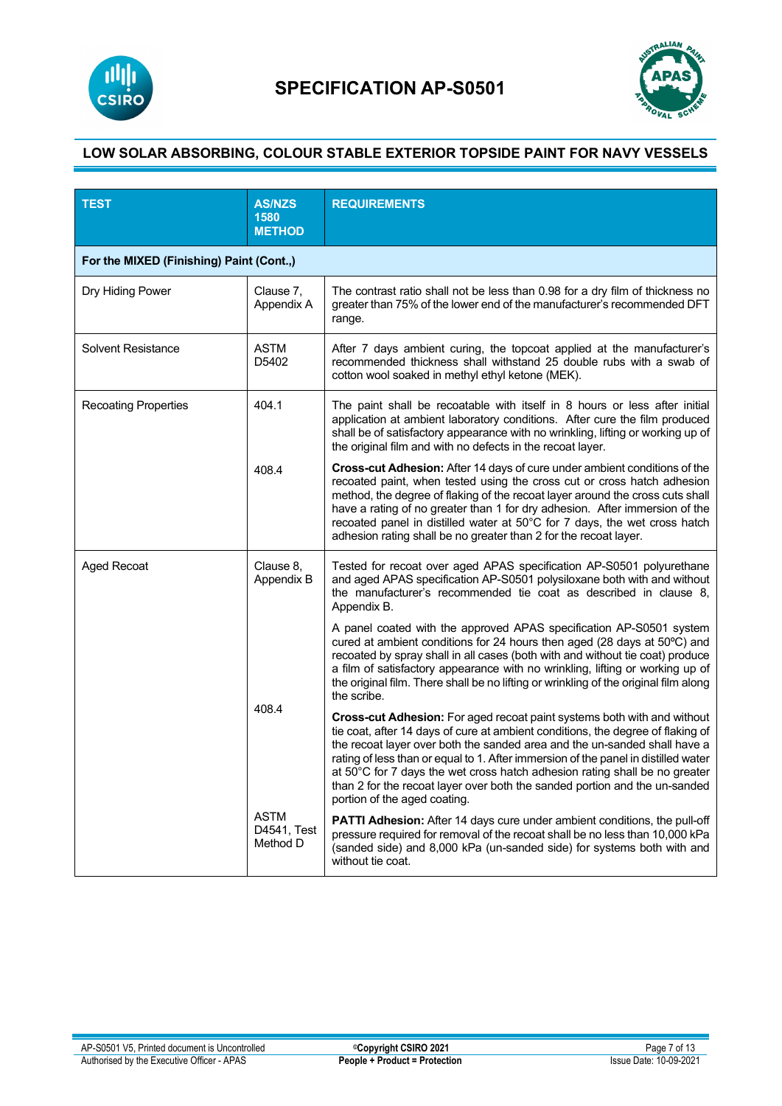



| <b>TEST</b>                              | <b>AS/NZS</b><br>1580<br><b>METHOD</b> | <b>REQUIREMENTS</b>                                                                                                                                                                                                                                                                                                                                                                                                                                                                                                       |
|------------------------------------------|----------------------------------------|---------------------------------------------------------------------------------------------------------------------------------------------------------------------------------------------------------------------------------------------------------------------------------------------------------------------------------------------------------------------------------------------------------------------------------------------------------------------------------------------------------------------------|
| For the MIXED (Finishing) Paint (Cont.,) |                                        |                                                                                                                                                                                                                                                                                                                                                                                                                                                                                                                           |
| Dry Hiding Power                         | Clause 7,<br>Appendix A                | The contrast ratio shall not be less than 0.98 for a dry film of thickness no<br>greater than 75% of the lower end of the manufacturer's recommended DFT<br>range.                                                                                                                                                                                                                                                                                                                                                        |
| <b>Solvent Resistance</b>                | <b>ASTM</b><br>D5402                   | After 7 days ambient curing, the topcoat applied at the manufacturer's<br>recommended thickness shall withstand 25 double rubs with a swab of<br>cotton wool soaked in methyl ethyl ketone (MEK).                                                                                                                                                                                                                                                                                                                         |
| <b>Recoating Properties</b>              | 404.1                                  | The paint shall be recoatable with itself in 8 hours or less after initial<br>application at ambient laboratory conditions. After cure the film produced<br>shall be of satisfactory appearance with no wrinkling, lifting or working up of<br>the original film and with no defects in the recoat layer.                                                                                                                                                                                                                 |
|                                          | 408.4                                  | Cross-cut Adhesion: After 14 days of cure under ambient conditions of the<br>recoated paint, when tested using the cross cut or cross hatch adhesion<br>method, the degree of flaking of the recoat layer around the cross cuts shall<br>have a rating of no greater than 1 for dry adhesion. After immersion of the<br>recoated panel in distilled water at 50°C for 7 days, the wet cross hatch<br>adhesion rating shall be no greater than 2 for the recoat layer.                                                     |
| <b>Aged Recoat</b>                       | Clause 8,<br>Appendix B                | Tested for recoat over aged APAS specification AP-S0501 polyurethane<br>and aged APAS specification AP-S0501 polysiloxane both with and without<br>the manufacturer's recommended tie coat as described in clause 8,<br>Appendix B.                                                                                                                                                                                                                                                                                       |
|                                          |                                        | A panel coated with the approved APAS specification AP-S0501 system<br>cured at ambient conditions for 24 hours then aged (28 days at 50°C) and<br>recoated by spray shall in all cases (both with and without tie coat) produce<br>a film of satisfactory appearance with no wrinkling, lifting or working up of<br>the original film. There shall be no lifting or wrinkling of the original film along<br>the scribe.                                                                                                  |
| 408.4                                    |                                        | Cross-cut Adhesion: For aged recoat paint systems both with and without<br>tie coat, after 14 days of cure at ambient conditions, the degree of flaking of<br>the recoat layer over both the sanded area and the un-sanded shall have a<br>rating of less than or equal to 1. After immersion of the panel in distilled water<br>at 50°C for 7 days the wet cross hatch adhesion rating shall be no greater<br>than 2 for the recoat layer over both the sanded portion and the un-sanded<br>portion of the aged coating. |
|                                          | <b>ASTM</b><br>D4541, Test<br>Method D | PATTI Adhesion: After 14 days cure under ambient conditions, the pull-off<br>pressure required for removal of the recoat shall be no less than 10,000 kPa<br>(sanded side) and 8,000 kPa (un-sanded side) for systems both with and<br>without tie coat.                                                                                                                                                                                                                                                                  |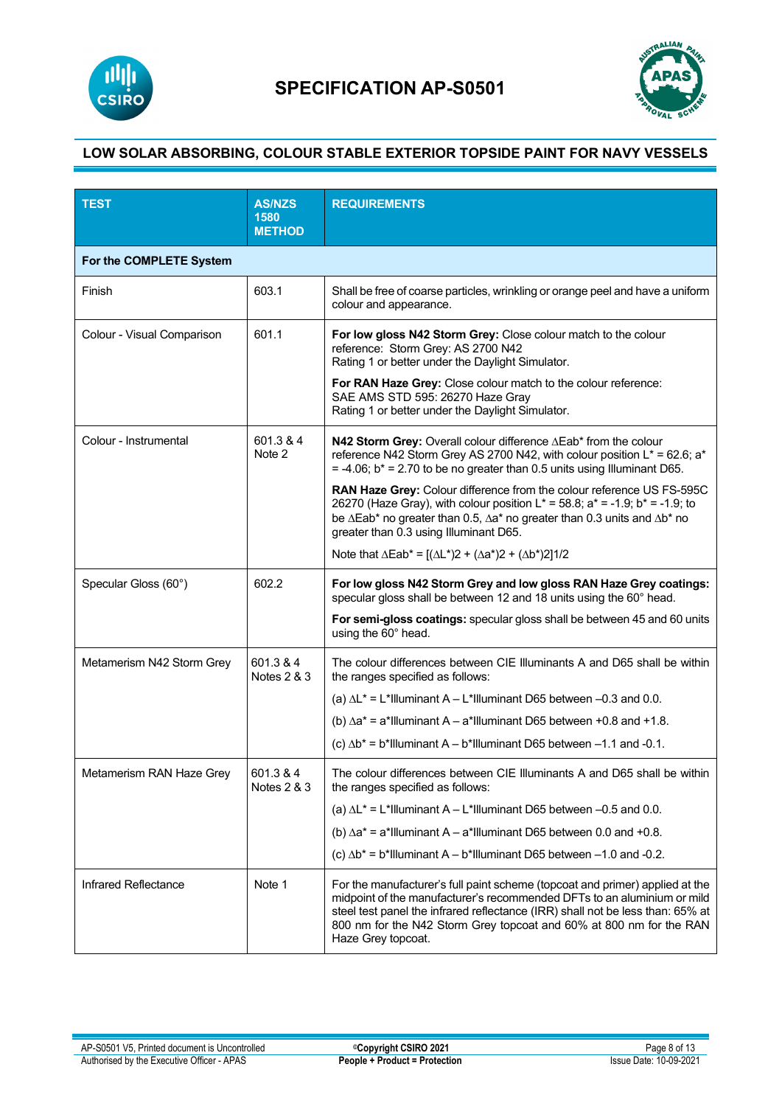



| <b>TEST</b>                | <b>AS/NZS</b><br>1580<br><b>METHOD</b> | <b>REQUIREMENTS</b>                                                                                                                                                                                                                                                                                                                    |
|----------------------------|----------------------------------------|----------------------------------------------------------------------------------------------------------------------------------------------------------------------------------------------------------------------------------------------------------------------------------------------------------------------------------------|
| For the COMPLETE System    |                                        |                                                                                                                                                                                                                                                                                                                                        |
| Finish                     | 603.1                                  | Shall be free of coarse particles, wrinkling or orange peel and have a uniform<br>colour and appearance.                                                                                                                                                                                                                               |
| Colour - Visual Comparison | 601.1                                  | For low gloss N42 Storm Grey: Close colour match to the colour<br>reference: Storm Grey: AS 2700 N42<br>Rating 1 or better under the Daylight Simulator.                                                                                                                                                                               |
|                            |                                        | For RAN Haze Grey: Close colour match to the colour reference:<br>SAE AMS STD 595: 26270 Haze Gray<br>Rating 1 or better under the Daylight Simulator.                                                                                                                                                                                 |
| Colour - Instrumental      | 601.3 & 4<br>Note 2                    | N42 Storm Grey: Overall colour difference ∆Eab* from the colour<br>reference N42 Storm Grey AS 2700 N42, with colour position L* = 62.6; a*<br>$= -4.06$ ; b <sup>*</sup> = 2.70 to be no greater than 0.5 units using Illuminant D65.                                                                                                 |
|                            |                                        | RAN Haze Grey: Colour difference from the colour reference US FS-595C<br>26270 (Haze Gray), with colour position $L^* = 58.8$ ; a <sup>*</sup> = -1.9; b <sup>*</sup> = -1.9; to<br>be ∆Eab* no greater than 0.5, ∆a* no greater than 0.3 units and ∆b* no<br>greater than 0.3 using Illuminant D65.                                   |
|                            |                                        | Note that $\Delta \mathsf{Eab}^* = [(\Delta \mathsf{L}^*)2 + (\Delta \mathsf{a}^*)2 + (\Delta \mathsf{b}^*)2]1/2$                                                                                                                                                                                                                      |
| Specular Gloss (60°)       | 602.2                                  | For low gloss N42 Storm Grey and low gloss RAN Haze Grey coatings:<br>specular gloss shall be between 12 and 18 units using the 60° head.                                                                                                                                                                                              |
|                            |                                        | For semi-gloss coatings: specular gloss shall be between 45 and 60 units<br>using the 60° head.                                                                                                                                                                                                                                        |
| Metamerism N42 Storm Grey  | 601.3 & 4<br>Notes 2 & 3               | The colour differences between CIE Illuminants A and D65 shall be within<br>the ranges specified as follows:                                                                                                                                                                                                                           |
|                            |                                        | (a) $\Delta L^*$ = L*Illuminant A – L*Illuminant D65 between –0.3 and 0.0.                                                                                                                                                                                                                                                             |
|                            |                                        | (b) $\Delta a^*$ = a*Illuminant A – a*Illuminant D65 between +0.8 and +1.8.                                                                                                                                                                                                                                                            |
|                            |                                        | (c) $\Delta b^*$ = b*Illuminant A – b*Illuminant D65 between –1.1 and -0.1.                                                                                                                                                                                                                                                            |
| Metamerism RAN Haze Grey   | 601.3 & 4<br><b>Notes 2 &amp; 3</b>    | The colour differences between CIE Illuminants A and D65 shall be within<br>the ranges specified as follows:                                                                                                                                                                                                                           |
|                            |                                        | (a) $\Delta L^*$ = L*Illuminant A – L*Illuminant D65 between –0.5 and 0.0.                                                                                                                                                                                                                                                             |
|                            |                                        | (b) $\Delta a^*$ = a*Illuminant A – a*Illuminant D65 between 0.0 and +0.8.                                                                                                                                                                                                                                                             |
|                            |                                        | (c) $\Delta b^*$ = b*Illuminant A – b*Illuminant D65 between –1.0 and -0.2.                                                                                                                                                                                                                                                            |
| Infrared Reflectance       | Note 1                                 | For the manufacturer's full paint scheme (topcoat and primer) applied at the<br>midpoint of the manufacturer's recommended DFTs to an aluminium or mild<br>steel test panel the infrared reflectance (IRR) shall not be less than: 65% at<br>800 nm for the N42 Storm Grey topcoat and 60% at 800 nm for the RAN<br>Haze Grey topcoat. |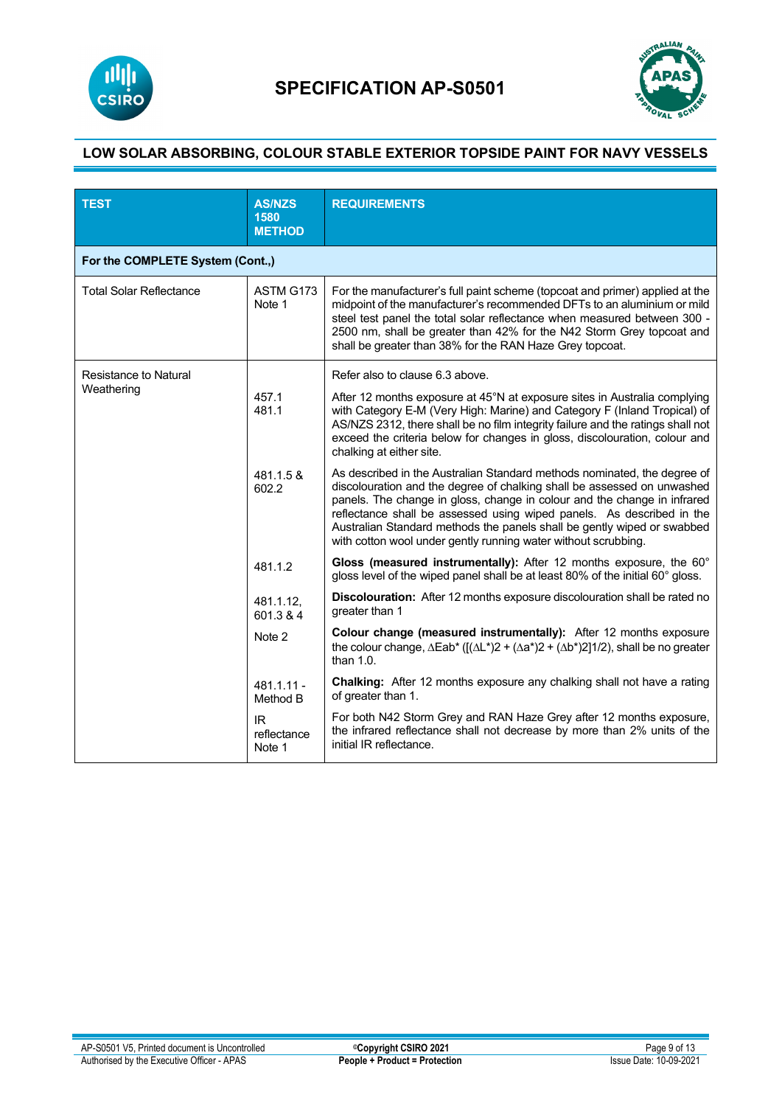



| <b>TEST</b>                      | <b>AS/NZS</b><br>1580<br><b>METHOD</b> | <b>REQUIREMENTS</b>                                                                                                                                                                                                                                                                                                                                                                                                                                   |
|----------------------------------|----------------------------------------|-------------------------------------------------------------------------------------------------------------------------------------------------------------------------------------------------------------------------------------------------------------------------------------------------------------------------------------------------------------------------------------------------------------------------------------------------------|
| For the COMPLETE System (Cont.,) |                                        |                                                                                                                                                                                                                                                                                                                                                                                                                                                       |
| <b>Total Solar Reflectance</b>   | ASTM G173<br>Note 1                    | For the manufacturer's full paint scheme (topcoat and primer) applied at the<br>midpoint of the manufacturer's recommended DFTs to an aluminium or mild<br>steel test panel the total solar reflectance when measured between 300 -<br>2500 nm, shall be greater than 42% for the N42 Storm Grey topcoat and<br>shall be greater than 38% for the RAN Haze Grey topcoat.                                                                              |
| <b>Resistance to Natural</b>     |                                        | Refer also to clause 6.3 above.                                                                                                                                                                                                                                                                                                                                                                                                                       |
| Weathering                       | 457.1<br>481.1                         | After 12 months exposure at 45°N at exposure sites in Australia complying<br>with Category E-M (Very High: Marine) and Category F (Inland Tropical) of<br>AS/NZS 2312, there shall be no film integrity failure and the ratings shall not<br>exceed the criteria below for changes in gloss, discolouration, colour and<br>chalking at either site.                                                                                                   |
|                                  | 481.1.5 &<br>602.2                     | As described in the Australian Standard methods nominated, the degree of<br>discolouration and the degree of chalking shall be assessed on unwashed<br>panels. The change in gloss, change in colour and the change in infrared<br>reflectance shall be assessed using wiped panels. As described in the<br>Australian Standard methods the panels shall be gently wiped or swabbed<br>with cotton wool under gently running water without scrubbing. |
|                                  | 481.1.2                                | Gloss (measured instrumentally): After 12 months exposure, the 60°<br>gloss level of the wiped panel shall be at least 80% of the initial 60° gloss.                                                                                                                                                                                                                                                                                                  |
|                                  | 481.1.12.<br>601.3 & 4                 | Discolouration: After 12 months exposure discolouration shall be rated no<br>greater than 1                                                                                                                                                                                                                                                                                                                                                           |
|                                  | Note 2                                 | <b>Colour change (measured instrumentally):</b> After 12 months exposure<br>the colour change, $\Delta$ Eab <sup>*</sup> ( $[(\Delta L^*)2 + (\Delta a^*)2 + (\Delta b^*)2]1/2$ ), shall be no greater<br>than $1.0$ .                                                                                                                                                                                                                                |
|                                  | $481.1.11 -$<br>Method B               | Chalking: After 12 months exposure any chalking shall not have a rating<br>of greater than 1.                                                                                                                                                                                                                                                                                                                                                         |
|                                  | IR.<br>reflectance<br>Note 1           | For both N42 Storm Grey and RAN Haze Grey after 12 months exposure,<br>the infrared reflectance shall not decrease by more than 2% units of the<br>initial IR reflectance.                                                                                                                                                                                                                                                                            |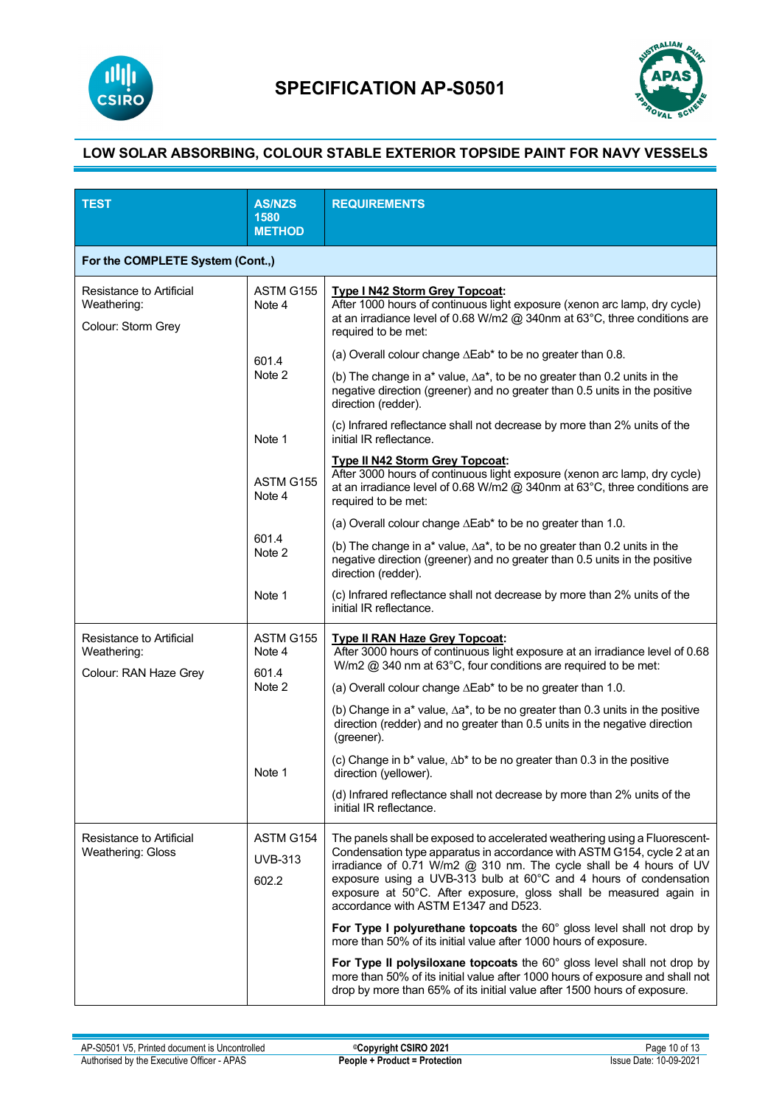



| <b>TEST</b>                                                   | <b>AS/NZS</b><br>1580<br><b>METHOD</b> | <b>REQUIREMENTS</b>                                                                                                                                                                                                                                                                                                                                                                                            |
|---------------------------------------------------------------|----------------------------------------|----------------------------------------------------------------------------------------------------------------------------------------------------------------------------------------------------------------------------------------------------------------------------------------------------------------------------------------------------------------------------------------------------------------|
| For the COMPLETE System (Cont.,)                              |                                        |                                                                                                                                                                                                                                                                                                                                                                                                                |
| Resistance to Artificial<br>Weathering:<br>Colour: Storm Grey | ASTM G155<br>Note 4                    | <b>Type I N42 Storm Grey Topcoat:</b><br>After 1000 hours of continuous light exposure (xenon arc lamp, dry cycle)<br>at an irradiance level of 0.68 W/m2 $@$ 340nm at 63°C, three conditions are<br>required to be met:                                                                                                                                                                                       |
|                                                               | 601.4<br>Note 2                        | (a) Overall colour change $\Delta \mathsf{E}ab^*$ to be no greater than 0.8.                                                                                                                                                                                                                                                                                                                                   |
|                                                               |                                        | (b) The change in a* value, $\Delta a^*$ , to be no greater than 0.2 units in the<br>negative direction (greener) and no greater than 0.5 units in the positive<br>direction (redder).                                                                                                                                                                                                                         |
|                                                               | Note 1                                 | (c) Infrared reflectance shall not decrease by more than 2% units of the<br>initial IR reflectance.                                                                                                                                                                                                                                                                                                            |
|                                                               | ASTM G155<br>Note 4                    | <b>Type II N42 Storm Grey Topcoat:</b><br>After 3000 hours of continuous light exposure (xenon arc lamp, dry cycle)<br>at an irradiance level of 0.68 W/m2 @ 340nm at 63°C, three conditions are<br>required to be met:                                                                                                                                                                                        |
|                                                               |                                        | (a) Overall colour change $\Delta$ Eab* to be no greater than 1.0.                                                                                                                                                                                                                                                                                                                                             |
|                                                               | 601.4<br>Note 2                        | (b) The change in a* value, $\Delta a^*$ , to be no greater than 0.2 units in the<br>negative direction (greener) and no greater than 0.5 units in the positive<br>direction (redder).                                                                                                                                                                                                                         |
|                                                               | Note 1                                 | (c) Infrared reflectance shall not decrease by more than 2% units of the<br>initial IR reflectance.                                                                                                                                                                                                                                                                                                            |
| Resistance to Artificial<br>Weathering:                       | ASTM G155<br>Note 4<br>601.4           | <b>Type II RAN Haze Grey Topcoat:</b><br>After 3000 hours of continuous light exposure at an irradiance level of 0.68<br>W/m2 @ 340 nm at 63°C, four conditions are required to be met:                                                                                                                                                                                                                        |
| Colour: RAN Haze Grey                                         | Note 2                                 | (a) Overall colour change $\Delta \mathsf{E}ab^*$ to be no greater than 1.0.                                                                                                                                                                                                                                                                                                                                   |
|                                                               |                                        | (b) Change in a* value, $\Delta a^*$ , to be no greater than 0.3 units in the positive<br>direction (redder) and no greater than 0.5 units in the negative direction<br>(greener).                                                                                                                                                                                                                             |
|                                                               | Note 1                                 | (c) Change in b* value, $\Delta b^*$ to be no greater than 0.3 in the positive<br>direction (yellower).                                                                                                                                                                                                                                                                                                        |
|                                                               |                                        | (d) Infrared reflectance shall not decrease by more than 2% units of the<br>initial IR reflectance.                                                                                                                                                                                                                                                                                                            |
| Resistance to Artificial<br><b>Weathering: Gloss</b>          | ASTM G154<br><b>UVB-313</b><br>602.2   | The panels shall be exposed to accelerated weathering using a Fluorescent-<br>Condensation type apparatus in accordance with ASTM G154, cycle 2 at an<br>irradiance of 0.71 W/m2 @ 310 nm. The cycle shall be 4 hours of UV<br>exposure using a UVB-313 bulb at 60°C and 4 hours of condensation<br>exposure at 50°C. After exposure, gloss shall be measured again in<br>accordance with ASTM E1347 and D523. |
|                                                               |                                        | For Type I polyurethane topcoats the 60° gloss level shall not drop by<br>more than 50% of its initial value after 1000 hours of exposure.                                                                                                                                                                                                                                                                     |
|                                                               |                                        | For Type II polysiloxane topcoats the 60° gloss level shall not drop by<br>more than 50% of its initial value after 1000 hours of exposure and shall not<br>drop by more than 65% of its initial value after 1500 hours of exposure.                                                                                                                                                                           |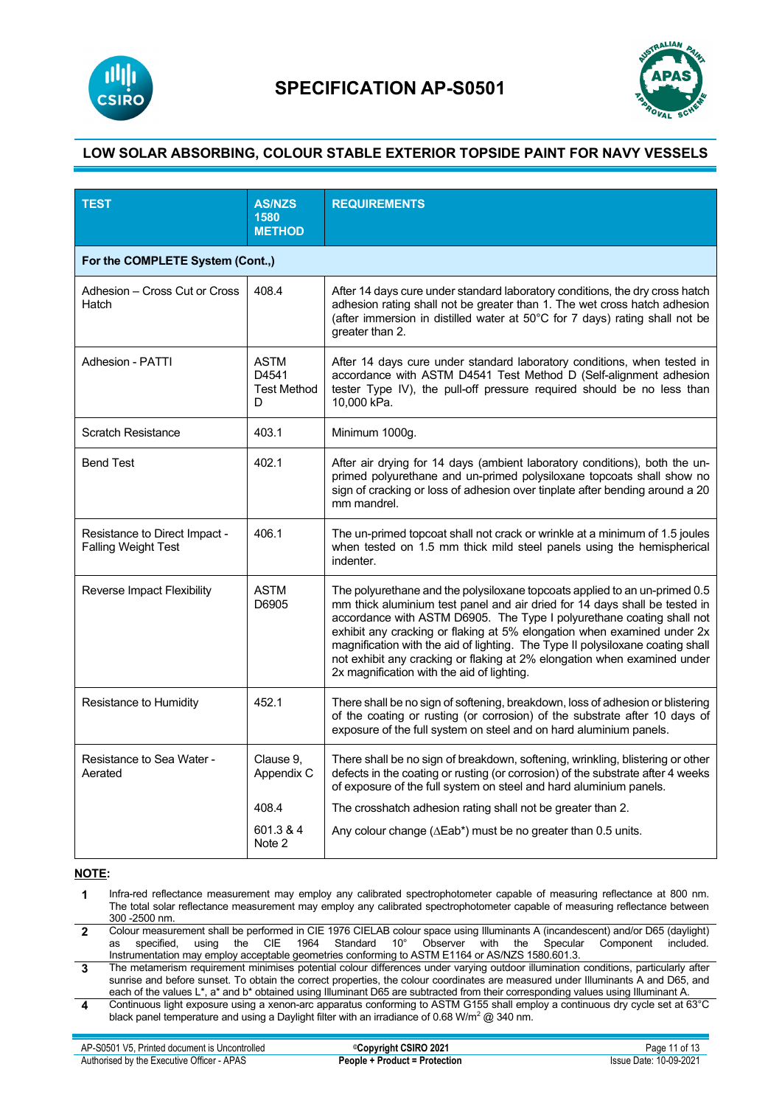



| <b>TEST</b>                                                 | <b>AS/NZS</b><br>1580<br><b>METHOD</b>          | <b>REQUIREMENTS</b>                                                                                                                                                                                                                                                                                                                                                                                                                                                                                                      |
|-------------------------------------------------------------|-------------------------------------------------|--------------------------------------------------------------------------------------------------------------------------------------------------------------------------------------------------------------------------------------------------------------------------------------------------------------------------------------------------------------------------------------------------------------------------------------------------------------------------------------------------------------------------|
| For the COMPLETE System (Cont.,)                            |                                                 |                                                                                                                                                                                                                                                                                                                                                                                                                                                                                                                          |
| Adhesion - Cross Cut or Cross<br>Hatch                      | 408.4                                           | After 14 days cure under standard laboratory conditions, the dry cross hatch<br>adhesion rating shall not be greater than 1. The wet cross hatch adhesion<br>(after immersion in distilled water at 50°C for 7 days) rating shall not be<br>greater than 2.                                                                                                                                                                                                                                                              |
| Adhesion - PATTI                                            | <b>ASTM</b><br>D4541<br><b>Test Method</b><br>D | After 14 days cure under standard laboratory conditions, when tested in<br>accordance with ASTM D4541 Test Method D (Self-alignment adhesion<br>tester Type IV), the pull-off pressure required should be no less than<br>10,000 kPa.                                                                                                                                                                                                                                                                                    |
| <b>Scratch Resistance</b>                                   | 403.1                                           | Minimum 1000g.                                                                                                                                                                                                                                                                                                                                                                                                                                                                                                           |
| <b>Bend Test</b>                                            | 402.1                                           | After air drying for 14 days (ambient laboratory conditions), both the un-<br>primed polyurethane and un-primed polysiloxane topcoats shall show no<br>sign of cracking or loss of adhesion over tinplate after bending around a 20<br>mm mandrel.                                                                                                                                                                                                                                                                       |
| Resistance to Direct Impact -<br><b>Falling Weight Test</b> | 406.1                                           | The un-primed topcoat shall not crack or wrinkle at a minimum of 1.5 joules<br>when tested on 1.5 mm thick mild steel panels using the hemispherical<br>indenter.                                                                                                                                                                                                                                                                                                                                                        |
| Reverse Impact Flexibility                                  | <b>ASTM</b><br>D6905                            | The polyurethane and the polysiloxane topcoats applied to an un-primed 0.5<br>mm thick aluminium test panel and air dried for 14 days shall be tested in<br>accordance with ASTM D6905. The Type I polyurethane coating shall not<br>exhibit any cracking or flaking at 5% elongation when examined under 2x<br>magnification with the aid of lighting. The Type II polysiloxane coating shall<br>not exhibit any cracking or flaking at 2% elongation when examined under<br>2x magnification with the aid of lighting. |
| Resistance to Humidity                                      | 452.1                                           | There shall be no sign of softening, breakdown, loss of adhesion or blistering<br>of the coating or rusting (or corrosion) of the substrate after 10 days of<br>exposure of the full system on steel and on hard aluminium panels.                                                                                                                                                                                                                                                                                       |
| Resistance to Sea Water -<br>Aerated                        | Clause 9.<br>Appendix C                         | There shall be no sign of breakdown, softening, wrinkling, blistering or other<br>defects in the coating or rusting (or corrosion) of the substrate after 4 weeks<br>of exposure of the full system on steel and hard aluminium panels.                                                                                                                                                                                                                                                                                  |
|                                                             | 408.4                                           | The crosshatch adhesion rating shall not be greater than 2.                                                                                                                                                                                                                                                                                                                                                                                                                                                              |
|                                                             | 601.3 & 4<br>Note 2                             | Any colour change ( $\Delta$ Eab <sup>*</sup> ) must be no greater than 0.5 units.                                                                                                                                                                                                                                                                                                                                                                                                                                       |

#### **NOTE:**

- **1** Infra-red reflectance measurement may employ any calibrated spectrophotometer capable of measuring reflectance at 800 nm. The total solar reflectance measurement may employ any calibrated spectrophotometer capable of measuring reflectance between 300 -2500 nm.
- 2 Colour measurement shall be performed in CIE 1976 CIELAB colour space using Illuminants A (incandescent) and/or D65 (daylight)<br>.as specified, using the CIE 1964 Standard 10° Observer with the Specu Instrumentation may employ acceptable geometries conforming to ASTM E1164 or AS/NZS 1580.601.3.
- **3** The metamerism requirement minimises potential colour differences under varying outdoor illumination conditions, particularly after sunrise and before sunset. To obtain the correct properties, the colour coordinates are measured under Illuminants A and D65, and each of the values L\*, a\* and b\* obtained using Illuminant D65 are subtracted from their corresponding values using Illuminant A.
- **4** Continuous light exposure using a xenon-arc apparatus conforming to ASTM G155 shall employ a continuous dry cycle set at 63°C black panel temperature and using a Daylight filter with an irradiance of 0.68 W/m<sup>2</sup>  $@$  340 nm.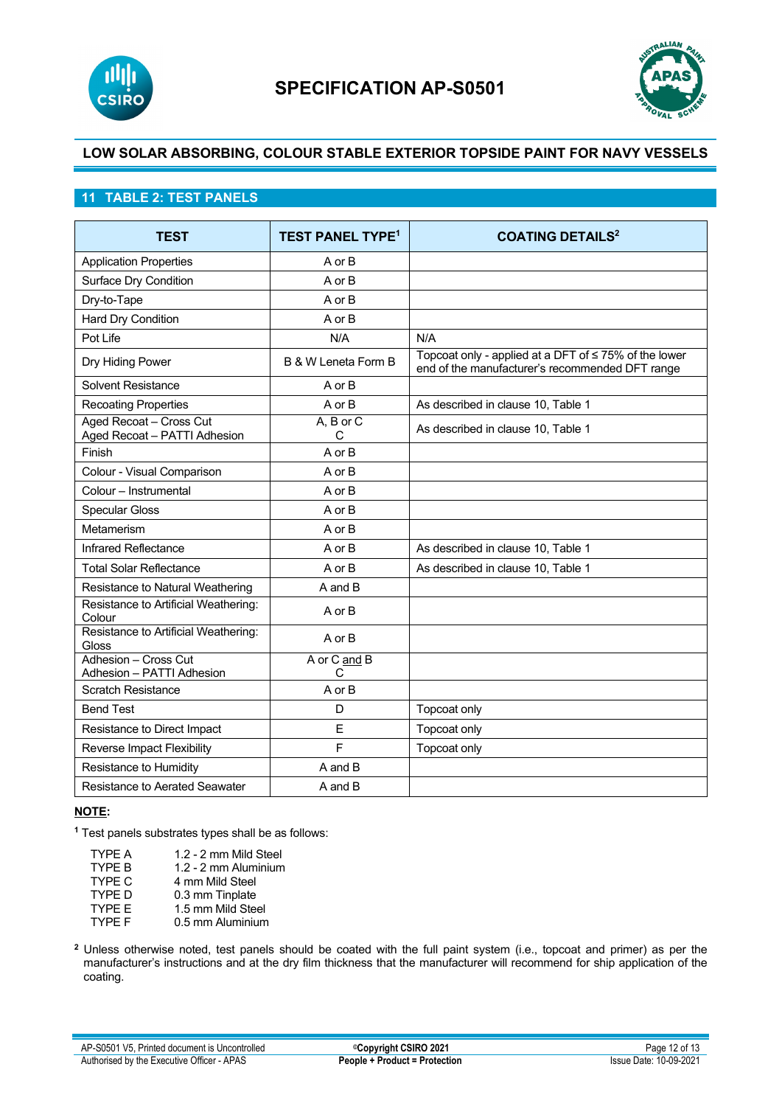



## **11 TABLE 2: TEST PANELS**

| <b>TEST</b>                                             | <b>TEST PANEL TYPE<sup>1</sup></b> | <b>COATING DETAILS<sup>2</sup></b>                                                                            |
|---------------------------------------------------------|------------------------------------|---------------------------------------------------------------------------------------------------------------|
| <b>Application Properties</b>                           | A or B                             |                                                                                                               |
| Surface Dry Condition                                   | A or B                             |                                                                                                               |
| Dry-to-Tape                                             | A or B                             |                                                                                                               |
| Hard Dry Condition                                      | A or B                             |                                                                                                               |
| Pot Life                                                | N/A                                | N/A                                                                                                           |
| Dry Hiding Power                                        | B & W Leneta Form B                | Topcoat only - applied at a DFT of $\leq$ 75% of the lower<br>end of the manufacturer's recommended DFT range |
| Solvent Resistance                                      | A or B                             |                                                                                                               |
| <b>Recoating Properties</b>                             | A or B                             | As described in clause 10, Table 1                                                                            |
| Aged Recoat - Cross Cut<br>Aged Recoat - PATTI Adhesion | $A, B$ or $C$<br>C                 | As described in clause 10, Table 1                                                                            |
| Finish                                                  | A or B                             |                                                                                                               |
| Colour - Visual Comparison                              | A or B                             |                                                                                                               |
| Colour - Instrumental                                   | A or B                             |                                                                                                               |
| <b>Specular Gloss</b>                                   | A or B                             |                                                                                                               |
| Metamerism                                              | A or B                             |                                                                                                               |
| Infrared Reflectance                                    | A or B                             | As described in clause 10, Table 1                                                                            |
| <b>Total Solar Reflectance</b>                          | A or B                             | As described in clause 10, Table 1                                                                            |
| Resistance to Natural Weathering                        | A and B                            |                                                                                                               |
| Resistance to Artificial Weathering:<br>Colour          | A or B                             |                                                                                                               |
| Resistance to Artificial Weathering:<br>Gloss           | A or B                             |                                                                                                               |
| Adhesion - Cross Cut<br>Adhesion - PATTI Adhesion       | A or C and B<br>$\mathsf{C}$       |                                                                                                               |
| <b>Scratch Resistance</b>                               | A or B                             |                                                                                                               |
| <b>Bend Test</b>                                        | D                                  | Topcoat only                                                                                                  |
| Resistance to Direct Impact                             | E                                  | Topcoat only                                                                                                  |
| Reverse Impact Flexibility                              | F                                  | Topcoat only                                                                                                  |
| Resistance to Humidity                                  | A and B                            |                                                                                                               |
| Resistance to Aerated Seawater                          | A and B                            |                                                                                                               |

### **NOTE:**

**<sup>1</sup>** Test panels substrates types shall be as follows:

| TYPF A        | 1.2 - 2 mm Mild Steel |
|---------------|-----------------------|
| <b>TYPF B</b> | 1.2 - 2 mm Aluminium  |
| TYPE C        | 4 mm Mild Steel       |
| <b>TYPF D</b> | 0.3 mm Tinplate       |
| TYPF F        | 1.5 mm Mild Steel     |
| TYPE F        | 0.5 mm Aluminium      |
|               |                       |

**<sup>2</sup>** Unless otherwise noted, test panels should be coated with the full paint system (i.e., topcoat and primer) as per the manufacturer's instructions and at the dry film thickness that the manufacturer will recommend for ship application of the coating.